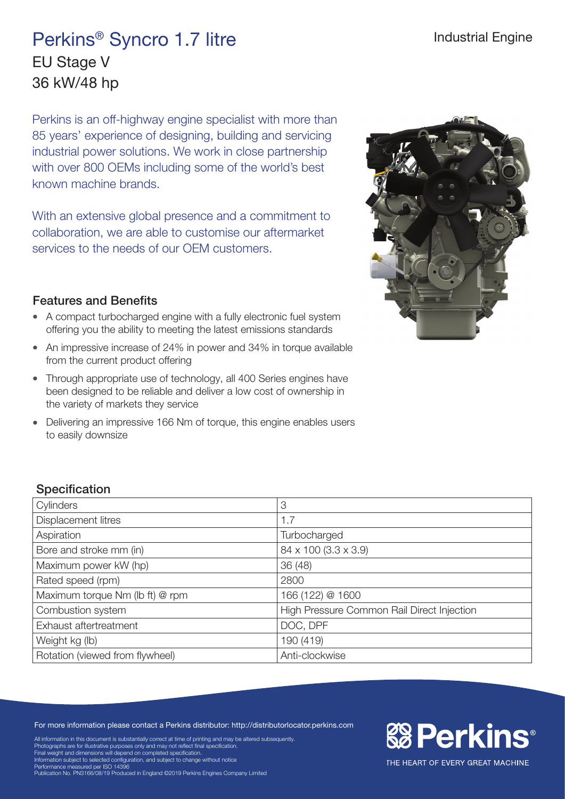## Perkins® Syncro 1.7 litre EU Stage V 36 kW/48 hp

Perkins is an off-highway engine specialist with more than 85 years' experience of designing, building and servicing industrial power solutions. We work in close partnership with over 800 OEMs including some of the world's best known machine brands.

With an extensive global presence and a commitment to collaboration, we are able to customise our aftermarket services to the needs of our OEM customers.

## Features and Benefits

- A compact turbocharged engine with a fully electronic fuel system offering you the ability to meeting the latest emissions standards
- An impressive increase of 24% in power and 34% in torque available from the current product offering
- Through appropriate use of technology, all 400 Series engines have been designed to be reliable and deliver a low cost of ownership in the variety of markets they service
- Delivering an impressive 166 Nm of torque, this engine enables users to easily downsize



**& Perkins®** 

THE HEART OF EVERY GREAT MACHINE

## **Specification**

| Cylinders                       | 3                                          |
|---------------------------------|--------------------------------------------|
| Displacement litres             | 1.7                                        |
| Aspiration                      | Turbocharged                               |
| Bore and stroke mm (in)         | 84 x 100 (3.3 x 3.9)                       |
| Maximum power kW (hp)           | 36 (48)                                    |
| Rated speed (rpm)               | 2800                                       |
| Maximum torque Nm (lb ft) @ rpm | 166 (122) @ 1600                           |
| Combustion system               | High Pressure Common Rail Direct Injection |
| Exhaust aftertreatment          | DOC, DPF                                   |
| Weight kg (lb)                  | 190 (419)                                  |
| Rotation (viewed from flywheel) | Anti-clockwise                             |

For more information please contact a Perkins distributor: http://distributorlocator.perkins.com

All information in this document is substantially correct at time of printing and may be altered subsequently.

Photographs are for illustrative purposes only and may not reflect final specification. Final weight and dimensions will depend on completed specification.

Information subject to selected configuration, and subject to change without notice<br>Performance measured per ISO 14396<br>Publication No. PN3166/08/19 Produced in England ©2019 Perkins Engines Company Limited